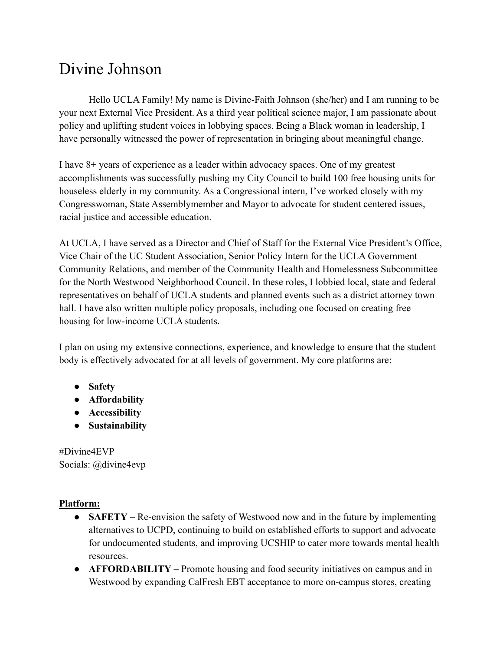## Divine Johnson

Hello UCLA Family! My name is Divine-Faith Johnson (she/her) and I am running to be your next External Vice President. As a third year political science major, I am passionate about policy and uplifting student voices in lobbying spaces. Being a Black woman in leadership, I have personally witnessed the power of representation in bringing about meaningful change.

I have 8+ years of experience as a leader within advocacy spaces. One of my greatest accomplishments was successfully pushing my City Council to build 100 free housing units for houseless elderly in my community. As a Congressional intern, I've worked closely with my Congresswoman, State Assemblymember and Mayor to advocate for student centered issues, racial justice and accessible education.

At UCLA, I have served as a Director and Chief of Staff for the External Vice President's Office, Vice Chair of the UC Student Association, Senior Policy Intern for the UCLA Government Community Relations, and member of the Community Health and Homelessness Subcommittee for the North Westwood Neighborhood Council. In these roles, I lobbied local, state and federal representatives on behalf of UCLA students and planned events such as a district attorney town hall. I have also written multiple policy proposals, including one focused on creating free housing for low-income UCLA students.

I plan on using my extensive connections, experience, and knowledge to ensure that the student body is effectively advocated for at all levels of government. My core platforms are:

- **Safety**
- **Affordability**
- **Accessibility**
- **● Sustainability**

#Divine4EVP Socials: @divine4evp

## **Platform:**

- **SAFETY** Re-envision the safety of Westwood now and in the future by implementing alternatives to UCPD, continuing to build on established efforts to support and advocate for undocumented students, and improving UCSHIP to cater more towards mental health resources.
- **AFFORDABILITY** Promote housing and food security initiatives on campus and in Westwood by expanding CalFresh EBT acceptance to more on-campus stores, creating